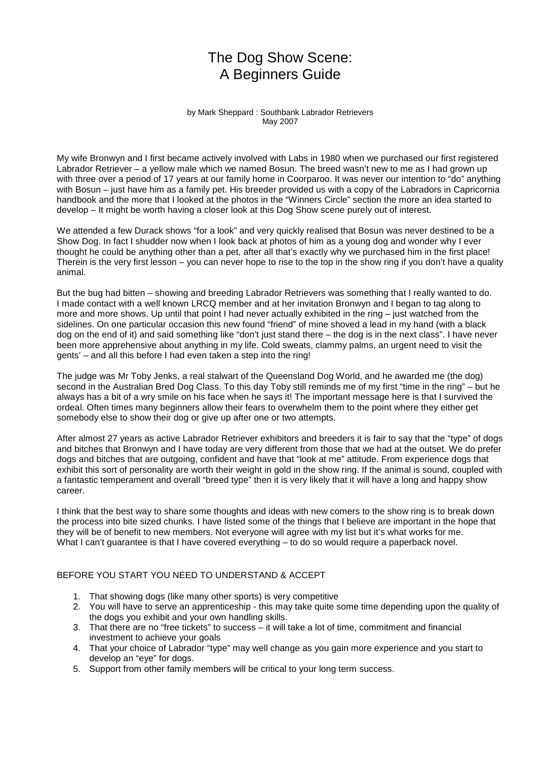# The Dog Show Scene: A Beginners Guide

by Mark Sheppard : Southbank Labrador Retrievers May 2007

My wife Bronwyn and I first became actively involved with Labs in 1980 when we purchased our first registered Labrador Retriever – a yellow male which we named Bosun. The breed wasn't new to me as I had grown up with three over a period of 17 years at our family home in Coorparoo. It was never our intention to "do" anything with Bosun – just have him as a family pet. His breeder provided us with a copy of the Labradors in Capricornia handbook and the more that I looked at the photos in the "Winners Circle" section the more an idea started to develop – It might be worth having a closer look at this Dog Show scene purely out of interest.

We attended a few Durack shows "for a look" and very quickly realised that Bosun was never destined to be a Show Dog. In fact I shudder now when I look back at photos of him as a young dog and wonder why I ever thought he could be anything other than a pet, after all that's exactly why we purchased him in the first place! Therein is the very first lesson – you can never hope to rise to the top in the show ring if you don't have a quality animal.

But the bug had bitten – showing and breeding Labrador Retrievers was something that I really wanted to do. I made contact with a well known LRCQ member and at her invitation Bronwyn and I began to tag along to more and more shows. Up until that point I had never actually exhibited in the ring – just watched from the sidelines. On one particular occasion this new found "friend" of mine shoved a lead in my hand (with a black dog on the end of it) and said something like "don't just stand there – the dog is in the next class". I have never been more apprehensive about anything in my life. Cold sweats, clammy palms, an urgent need to visit the gents' – and all this before I had even taken a step into the ring!

The judge was Mr Toby Jenks, a real stalwart of the Queensland Dog World, and he awarded me (the dog) second in the Australian Bred Dog Class. To this day Toby still reminds me of my first "time in the ring" – but he always has a bit of a wry smile on his face when he says it! The important message here is that I survived the ordeal. Often times many beginners allow their fears to overwhelm them to the point where they either get somebody else to show their dog or give up after one or two attempts.

After almost 27 years as active Labrador Retriever exhibitors and breeders it is fair to say that the "type" of dogs and bitches that Bronwyn and I have today are very different from those that we had at the outset. We do prefer dogs and bitches that are outgoing, confident and have that "look at me" attitude. From experience dogs that exhibit this sort of personality are worth their weight in gold in the show ring. If the animal is sound, coupled with a fantastic temperament and overall "breed type" then it is very likely that it will have a long and happy show career.

I think that the best way to share some thoughts and ideas with new comers to the show ring is to break down the process into bite sized chunks. I have listed some of the things that I believe are important in the hope that they will be of benefit to new members. Not everyone will agree with my list but it's what works for me. What I can't guarantee is that I have covered everything – to do so would require a paperback novel.

#### BEFORE YOU START YOU NEED TO UNDERSTAND & ACCEPT

- 1. That showing dogs (like many other sports) is very competitive
- 2. You will have to serve an apprenticeship this may take quite some time depending upon the quality of the dogs you exhibit and your own handling skills.
- 3. That there are no "free tickets" to success it will take a lot of time, commitment and financial investment to achieve your goals
- 4. That your choice of Labrador "type" may well change as you gain more experience and you start to develop an "eye" for dogs.
- 5. Support from other family members will be critical to your long term success.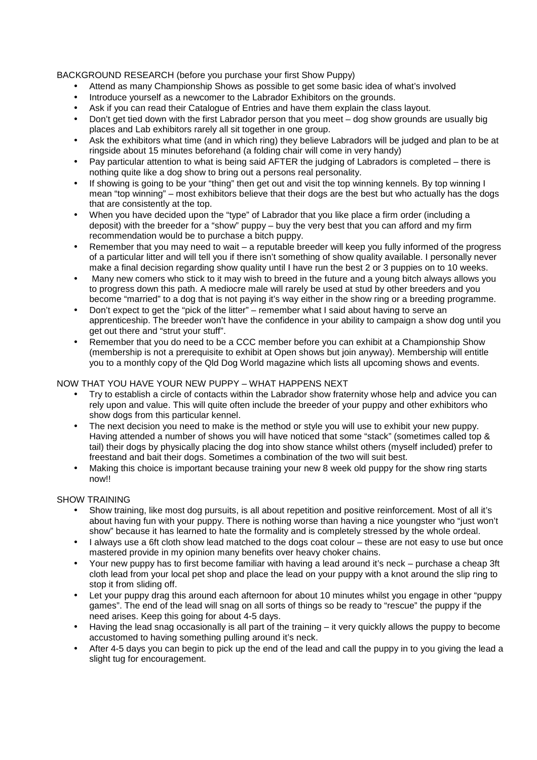BACKGROUND RESEARCH (before you purchase your first Show Puppy)

- Attend as many Championship Shows as possible to get some basic idea of what's involved
- Introduce yourself as a newcomer to the Labrador Exhibitors on the grounds.
- Ask if you can read their Catalogue of Entries and have them explain the class layout.
- Don't get tied down with the first Labrador person that you meet dog show grounds are usually big places and Lab exhibitors rarely all sit together in one group.
- Ask the exhibitors what time (and in which ring) they believe Labradors will be judged and plan to be at ringside about 15 minutes beforehand (a folding chair will come in very handy)
- Pay particular attention to what is being said AFTER the judging of Labradors is completed there is nothing quite like a dog show to bring out a persons real personality.
- If showing is going to be your "thing" then get out and visit the top winning kennels. By top winning I mean "top winning" – most exhibitors believe that their dogs are the best but who actually has the dogs that are consistently at the top.
- When you have decided upon the "type" of Labrador that you like place a firm order (including a deposit) with the breeder for a "show" puppy – buy the very best that you can afford and my firm recommendation would be to purchase a bitch puppy.
- Remember that you may need to wait a reputable breeder will keep you fully informed of the progress of a particular litter and will tell you if there isn't something of show quality available. I personally never make a final decision regarding show quality until I have run the best 2 or 3 puppies on to 10 weeks.
- Many new comers who stick to it may wish to breed in the future and a young bitch always allows you to progress down this path. A mediocre male will rarely be used at stud by other breeders and you become "married" to a dog that is not paying it's way either in the show ring or a breeding programme.
- Don't expect to get the "pick of the litter" remember what I said about having to serve an apprenticeship. The breeder won't have the confidence in your ability to campaign a show dog until you get out there and "strut your stuff".
- Remember that you do need to be a CCC member before you can exhibit at a Championship Show (membership is not a prerequisite to exhibit at Open shows but join anyway). Membership will entitle you to a monthly copy of the Qld Dog World magazine which lists all upcoming shows and events.

#### NOW THAT YOU HAVE YOUR NEW PUPPY – WHAT HAPPENS NEXT

- Try to establish a circle of contacts within the Labrador show fraternity whose help and advice you can rely upon and value. This will quite often include the breeder of your puppy and other exhibitors who show dogs from this particular kennel.
- The next decision you need to make is the method or style you will use to exhibit your new puppy. Having attended a number of shows you will have noticed that some "stack" (sometimes called top & tail) their dogs by physically placing the dog into show stance whilst others (myself included) prefer to freestand and bait their dogs. Sometimes a combination of the two will suit best.
- Making this choice is important because training your new 8 week old puppy for the show ring starts now!!

#### SHOW TRAINING

- Show training, like most dog pursuits, is all about repetition and positive reinforcement. Most of all it's about having fun with your puppy. There is nothing worse than having a nice youngster who "just won't show" because it has learned to hate the formality and is completely stressed by the whole ordeal.
- I always use a 6ft cloth show lead matched to the dogs coat colour these are not easy to use but once mastered provide in my opinion many benefits over heavy choker chains.
- Your new puppy has to first become familiar with having a lead around it's neck purchase a cheap 3ft cloth lead from your local pet shop and place the lead on your puppy with a knot around the slip ring to stop it from sliding off.
- Let your puppy drag this around each afternoon for about 10 minutes whilst you engage in other "puppy games". The end of the lead will snag on all sorts of things so be ready to "rescue" the puppy if the need arises. Keep this going for about 4-5 days.
- Having the lead snag occasionally is all part of the training it very quickly allows the puppy to become accustomed to having something pulling around it's neck.
- After 4-5 days you can begin to pick up the end of the lead and call the puppy in to you giving the lead a slight tug for encouragement.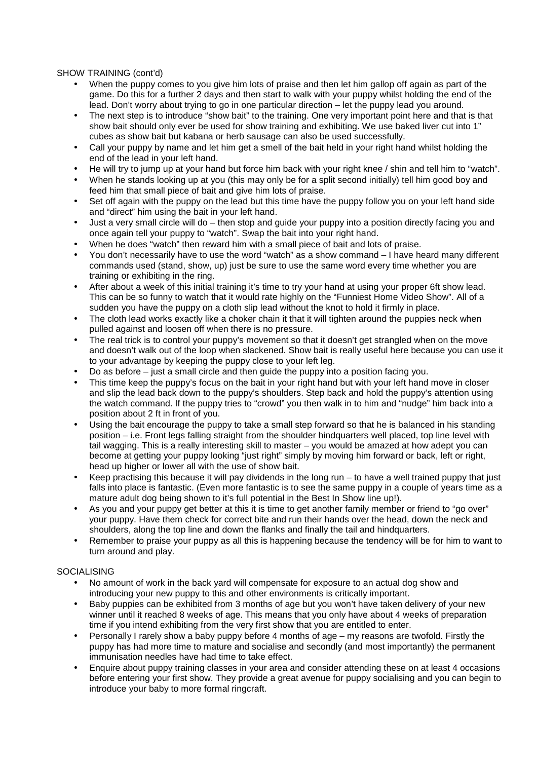#### SHOW TRAINING (cont'd)

- When the puppy comes to you give him lots of praise and then let him gallop off again as part of the game. Do this for a further 2 days and then start to walk with your puppy whilst holding the end of the lead. Don't worry about trying to go in one particular direction – let the puppy lead you around.
- The next step is to introduce "show bait" to the training. One very important point here and that is that show bait should only ever be used for show training and exhibiting. We use baked liver cut into 1" cubes as show bait but kabana or herb sausage can also be used successfully.
- Call your puppy by name and let him get a smell of the bait held in your right hand whilst holding the end of the lead in your left hand.
- He will try to jump up at your hand but force him back with your right knee / shin and tell him to "watch".
- When he stands looking up at you (this may only be for a split second initially) tell him good boy and feed him that small piece of bait and give him lots of praise.
- Set off again with the puppy on the lead but this time have the puppy follow you on your left hand side and "direct" him using the bait in your left hand.
- Just a very small circle will do then stop and guide your puppy into a position directly facing you and once again tell your puppy to "watch". Swap the bait into your right hand.
- When he does "watch" then reward him with a small piece of bait and lots of praise.
- You don't necessarily have to use the word "watch" as a show command I have heard many different commands used (stand, show, up) just be sure to use the same word every time whether you are training or exhibiting in the ring.
- After about a week of this initial training it's time to try your hand at using your proper 6ft show lead. This can be so funny to watch that it would rate highly on the "Funniest Home Video Show". All of a sudden you have the puppy on a cloth slip lead without the knot to hold it firmly in place.
- The cloth lead works exactly like a choker chain it that it will tighten around the puppies neck when pulled against and loosen off when there is no pressure.
- The real trick is to control your puppy's movement so that it doesn't get strangled when on the move and doesn't walk out of the loop when slackened. Show bait is really useful here because you can use it to your advantage by keeping the puppy close to your left leg.
- Do as before just a small circle and then guide the puppy into a position facing you.
- This time keep the puppy's focus on the bait in your right hand but with your left hand move in closer and slip the lead back down to the puppy's shoulders. Step back and hold the puppy's attention using the watch command. If the puppy tries to "crowd" you then walk in to him and "nudge" him back into a position about 2 ft in front of you.
- Using the bait encourage the puppy to take a small step forward so that he is balanced in his standing position – i.e. Front legs falling straight from the shoulder hindquarters well placed, top line level with tail wagging. This is a really interesting skill to master – you would be amazed at how adept you can become at getting your puppy looking "just right" simply by moving him forward or back, left or right, head up higher or lower all with the use of show bait.
- Keep practising this because it will pay dividends in the long run  $-$  to have a well trained puppy that just falls into place is fantastic. (Even more fantastic is to see the same puppy in a couple of years time as a mature adult dog being shown to it's full potential in the Best In Show line up!).
- As you and your puppy get better at this it is time to get another family member or friend to "go over" your puppy. Have them check for correct bite and run their hands over the head, down the neck and shoulders, along the top line and down the flanks and finally the tail and hindquarters.
- Remember to praise your puppy as all this is happening because the tendency will be for him to want to turn around and play.

#### SOCIALISING

- No amount of work in the back yard will compensate for exposure to an actual dog show and introducing your new puppy to this and other environments is critically important.
- Baby puppies can be exhibited from 3 months of age but you won't have taken delivery of your new winner until it reached 8 weeks of age. This means that you only have about 4 weeks of preparation time if you intend exhibiting from the very first show that you are entitled to enter.
- Personally I rarely show a baby puppy before 4 months of age my reasons are twofold. Firstly the puppy has had more time to mature and socialise and secondly (and most importantly) the permanent immunisation needles have had time to take effect.
- Enquire about puppy training classes in your area and consider attending these on at least 4 occasions before entering your first show. They provide a great avenue for puppy socialising and you can begin to introduce your baby to more formal ringcraft.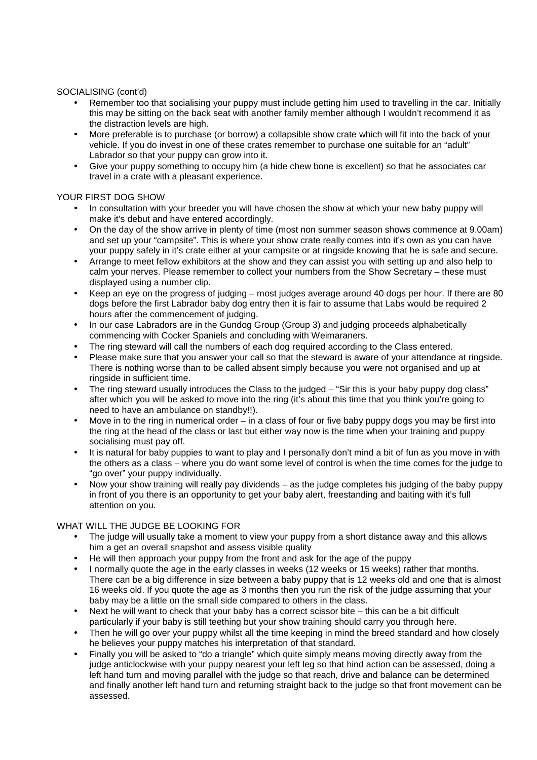#### SOCIALISING (cont'd)

- Remember too that socialising your puppy must include getting him used to travelling in the car. Initially this may be sitting on the back seat with another family member although I wouldn't recommend it as the distraction levels are high.
- More preferable is to purchase (or borrow) a collapsible show crate which will fit into the back of your vehicle. If you do invest in one of these crates remember to purchase one suitable for an "adult" Labrador so that your puppy can grow into it.
- Give your puppy something to occupy him (a hide chew bone is excellent) so that he associates car travel in a crate with a pleasant experience.

## YOUR FIRST DOG SHOW

- In consultation with your breeder you will have chosen the show at which your new baby puppy will make it's debut and have entered accordingly.
- On the day of the show arrive in plenty of time (most non summer season shows commence at 9.00am) and set up your "campsite". This is where your show crate really comes into it's own as you can have your puppy safely in it's crate either at your campsite or at ringside knowing that he is safe and secure.
- Arrange to meet fellow exhibitors at the show and they can assist you with setting up and also help to calm your nerves. Please remember to collect your numbers from the Show Secretary – these must displayed using a number clip.
- Keep an eye on the progress of judging most judges average around 40 dogs per hour. If there are 80 dogs before the first Labrador baby dog entry then it is fair to assume that Labs would be required 2 hours after the commencement of judging.
- In our case Labradors are in the Gundog Group (Group 3) and judging proceeds alphabetically commencing with Cocker Spaniels and concluding with Weimaraners.
- The ring steward will call the numbers of each dog required according to the Class entered.
- Please make sure that you answer your call so that the steward is aware of your attendance at ringside. There is nothing worse than to be called absent simply because you were not organised and up at ringside in sufficient time.
- The ring steward usually introduces the Class to the judged "Sir this is your baby puppy dog class" after which you will be asked to move into the ring (it's about this time that you think you're going to need to have an ambulance on standby!!).
- Move in to the ring in numerical order  $-$  in a class of four or five baby puppy dogs you may be first into the ring at the head of the class or last but either way now is the time when your training and puppy socialising must pay off.
- It is natural for baby puppies to want to play and I personally don't mind a bit of fun as you move in with the others as a class – where you do want some level of control is when the time comes for the judge to "go over" your puppy individually.
- Now your show training will really pay dividends as the judge completes his judging of the baby puppy in front of you there is an opportunity to get your baby alert, freestanding and baiting with it's full attention on you.

#### WHAT WILL THE JUDGE BE LOOKING FOR

- The judge will usually take a moment to view your puppy from a short distance away and this allows him a get an overall snapshot and assess visible quality
- He will then approach your puppy from the front and ask for the age of the puppy
- I normally quote the age in the early classes in weeks (12 weeks or 15 weeks) rather that months. There can be a big difference in size between a baby puppy that is 12 weeks old and one that is almost 16 weeks old. If you quote the age as 3 months then you run the risk of the judge assuming that your baby may be a little on the small side compared to others in the class.
- Next he will want to check that your baby has a correct scissor bite this can be a bit difficult particularly if your baby is still teething but your show training should carry you through here.
- Then he will go over your puppy whilst all the time keeping in mind the breed standard and how closely he believes your puppy matches his interpretation of that standard.
- Finally you will be asked to "do a triangle" which quite simply means moving directly away from the judge anticlockwise with your puppy nearest your left leg so that hind action can be assessed, doing a left hand turn and moving parallel with the judge so that reach, drive and balance can be determined and finally another left hand turn and returning straight back to the judge so that front movement can be assessed.